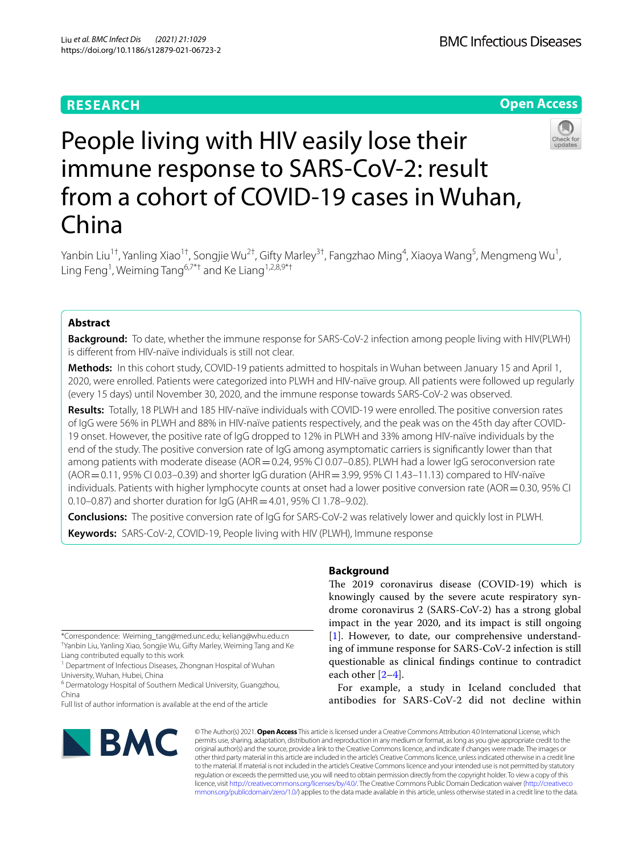# **RESEARCH**

# **Open Access**



# People living with HIV easily lose their immune response to SARS-CoV-2: result from a cohort of COVID-19 cases in Wuhan, China

Yanbin Liu<sup>1†</sup>, Yanling Xiao<sup>1†</sup>, Songjie Wu<sup>2†</sup>, Gifty Marley<sup>3†</sup>, Fangzhao Ming<sup>4</sup>, Xiaoya Wang<sup>5</sup>, Mengmeng Wu<sup>1</sup>, Ling Feng<sup>1</sup>, Weiming Tang<sup>6,7\*†</sup> and Ke Liang<sup>1,2,8,9\*†</sup>

# **Abstract**

**Background:** To date, whether the immune response for SARS-CoV-2 infection among people living with HIV(PLWH) is diferent from HIV-naïve individuals is still not clear.

**Methods:** In this cohort study, COVID-19 patients admitted to hospitals in Wuhan between January 15 and April 1, 2020, were enrolled. Patients were categorized into PLWH and HIV-naïve group. All patients were followed up regularly (every 15 days) until November 30, 2020, and the immune response towards SARS-CoV-2 was observed.

**Results:** Totally, 18 PLWH and 185 HIV-naïve individuals with COVID-19 were enrolled. The positive conversion rates of IgG were 56% in PLWH and 88% in HIV-naïve patients respectively, and the peak was on the 45th day after COVID-19 onset. However, the positive rate of IgG dropped to 12% in PLWH and 33% among HIV-naïve individuals by the end of the study. The positive conversion rate of IgG among asymptomatic carriers is signifcantly lower than that among patients with moderate disease (AOR=0.24, 95% CI 0.07-0.85). PLWH had a lower IgG seroconversion rate (AOR=0.11, 95% CI 0.03–0.39) and shorter IgG duration (AHR=3.99, 95% CI 1.43–11.13) compared to HIV-naïve individuals. Patients with higher lymphocyte counts at onset had a lower positive conversion rate (AOR = 0.30, 95% CI 0.10–0.87) and shorter duration for IgG (AHR = 4.01, 95% CI 1.78–9.02).

**Conclusions:** The positive conversion rate of IgG for SARS-CoV-2 was relatively lower and quickly lost in PLWH. **Keywords:** SARS-CoV-2, COVID-19, People living with HIV (PLWH), Immune response

\*Correspondence: Weiming\_tang@med.unc.edu; keliang@whu.edu.cn † Yanbin Liu, Yanling Xiao, Songjie Wu, Gifty Marley, Weiming Tang and Ke

Liang contributed equally to this work <sup>1</sup> Department of Infectious Diseases, Zhongnan Hospital of Wuhan University, Wuhan, Hubei, China

<sup>6</sup> Dermatology Hospital of Southern Medical University, Guangzhou, China

Full list of author information is available at the end of the article

# BMC

# **Background**

The 2019 coronavirus disease (COVID-19) which is knowingly caused by the severe acute respiratory syndrome coronavirus 2 (SARS-CoV-2) has a strong global impact in the year 2020, and its impact is still ongoing [[1\]](#page-5-0). However, to date, our comprehensive understanding of immune response for SARS-CoV-2 infection is still questionable as clinical fndings continue to contradict each other [\[2](#page-5-1)[–4](#page-5-2)].

For example, a study in Iceland concluded that antibodies for SARS-CoV-2 did not decline within

© The Author(s) 2021. **Open Access** This article is licensed under a Creative Commons Attribution 4.0 International License, which permits use, sharing, adaptation, distribution and reproduction in any medium or format, as long as you give appropriate credit to the original author(s) and the source, provide a link to the Creative Commons licence, and indicate if changes were made. The images or other third party material in this article are included in the article's Creative Commons licence, unless indicated otherwise in a credit line to the material. If material is not included in the article's Creative Commons licence and your intended use is not permitted by statutory regulation or exceeds the permitted use, you will need to obtain permission directly from the copyright holder. To view a copy of this licence, visit [http://creativecommons.org/licenses/by/4.0/.](http://creativecommons.org/licenses/by/4.0/) The Creative Commons Public Domain Dedication waiver ([http://creativeco](http://creativecommons.org/publicdomain/zero/1.0/) [mmons.org/publicdomain/zero/1.0/](http://creativecommons.org/publicdomain/zero/1.0/)) applies to the data made available in this article, unless otherwise stated in a credit line to the data.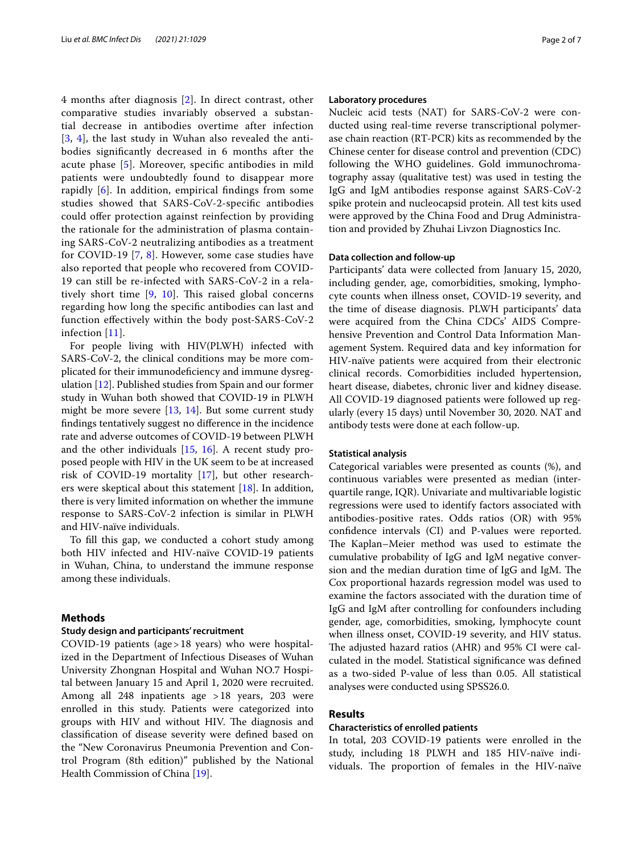4 months after diagnosis [\[2](#page-5-1)]. In direct contrast, other comparative studies invariably observed a substantial decrease in antibodies overtime after infection [[3](#page-5-3), [4](#page-5-2)], the last study in Wuhan also revealed the antibodies signifcantly decreased in 6 months after the acute phase [[5\]](#page-5-4). Moreover, specifc antibodies in mild patients were undoubtedly found to disappear more rapidly [\[6](#page-5-5)]. In addition, empirical fndings from some studies showed that SARS-CoV-2-specifc antibodies could offer protection against reinfection by providing the rationale for the administration of plasma containing SARS-CoV-2 neutralizing antibodies as a treatment for COVID-19 [[7](#page-5-6), [8\]](#page-5-7). However, some case studies have also reported that people who recovered from COVID-19 can still be re-infected with SARS-CoV-2 in a relatively short time  $[9, 10]$  $[9, 10]$  $[9, 10]$  $[9, 10]$ . This raised global concerns regarding how long the specifc antibodies can last and function efectively within the body post-SARS-CoV-2 infection [\[11](#page-5-10)].

For people living with HIV(PLWH) infected with SARS-CoV-2, the clinical conditions may be more complicated for their immunodefciency and immune dysregulation [[12\]](#page-5-11). Published studies from Spain and our former study in Wuhan both showed that COVID-19 in PLWH might be more severe [[13,](#page-5-12) [14\]](#page-5-13). But some current study fndings tentatively suggest no diference in the incidence rate and adverse outcomes of COVID-19 between PLWH and the other individuals [[15,](#page-5-14) [16\]](#page-5-15). A recent study proposed people with HIV in the UK seem to be at increased risk of COVID-19 mortality [\[17](#page-5-16)], but other researchers were skeptical about this statement [\[18](#page-5-17)]. In addition, there is very limited information on whether the immune response to SARS-CoV-2 infection is similar in PLWH and HIV-naïve individuals.

To fll this gap, we conducted a cohort study among both HIV infected and HIV-naïve COVID-19 patients in Wuhan, China, to understand the immune response among these individuals.

#### **Methods**

#### **Study design and participants' recruitment**

COVID-19 patients (age>18 years) who were hospitalized in the Department of Infectious Diseases of Wuhan University Zhongnan Hospital and Wuhan NO.7 Hospital between January 15 and April 1, 2020 were recruited. Among all 248 inpatients age >18 years, 203 were enrolled in this study. Patients were categorized into groups with HIV and without HIV. The diagnosis and classifcation of disease severity were defned based on the "New Coronavirus Pneumonia Prevention and Control Program (8th edition)" published by the National Health Commission of China [\[19](#page-5-18)].

### **Laboratory procedures**

Nucleic acid tests (NAT) for SARS-CoV-2 were conducted using real-time reverse transcriptional polymerase chain reaction (RT-PCR) kits as recommended by the Chinese center for disease control and prevention (CDC) following the WHO guidelines. Gold immunochromatography assay (qualitative test) was used in testing the IgG and IgM antibodies response against SARS-CoV-2 spike protein and nucleocapsid protein. All test kits used were approved by the China Food and Drug Administration and provided by Zhuhai Livzon Diagnostics Inc.

#### **Data collection and follow‑up**

Participants' data were collected from January 15, 2020, including gender, age, comorbidities, smoking, lymphocyte counts when illness onset, COVID-19 severity, and the time of disease diagnosis. PLWH participants' data were acquired from the China CDCs' AIDS Comprehensive Prevention and Control Data Information Management System. Required data and key information for HIV-naïve patients were acquired from their electronic clinical records. Comorbidities included hypertension, heart disease, diabetes, chronic liver and kidney disease. All COVID-19 diagnosed patients were followed up regularly (every 15 days) until November 30, 2020. NAT and antibody tests were done at each follow-up.

#### **Statistical analysis**

Categorical variables were presented as counts (%), and continuous variables were presented as median (interquartile range, IQR). Univariate and multivariable logistic regressions were used to identify factors associated with antibodies-positive rates. Odds ratios (OR) with 95% confdence intervals (CI) and P-values were reported. The Kaplan–Meier method was used to estimate the cumulative probability of IgG and IgM negative conversion and the median duration time of  $I_{\text{g}}G$  and  $I_{\text{g}}M$ . The Cox proportional hazards regression model was used to examine the factors associated with the duration time of IgG and IgM after controlling for confounders including gender, age, comorbidities, smoking, lymphocyte count when illness onset, COVID-19 severity, and HIV status. The adjusted hazard ratios (AHR) and 95% CI were calculated in the model. Statistical signifcance was defned as a two-sided P-value of less than 0.05. All statistical analyses were conducted using SPSS26.0.

# **Results**

# **Characteristics of enrolled patients**

In total, 203 COVID-19 patients were enrolled in the study, including 18 PLWH and 185 HIV-naïve individuals. The proportion of females in the HIV-naïve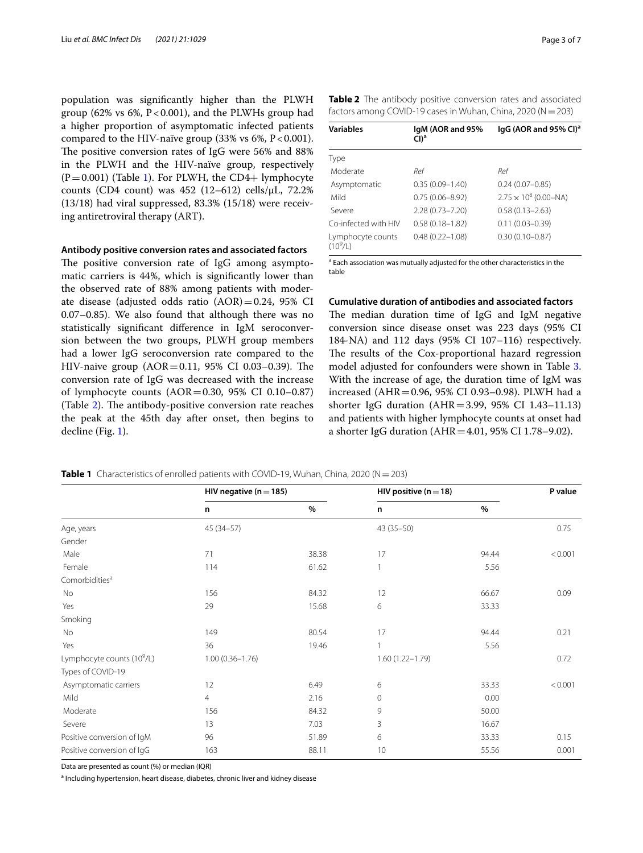population was signifcantly higher than the PLWH group (62% vs 6%,  $P < 0.001$ ), and the PLWHs group had a higher proportion of asymptomatic infected patients compared to the HIV-naïve group  $(33\% \text{ vs } 6\%, P < 0.001)$ . The positive conversion rates of IgG were 56% and 88% in the PLWH and the HIV-naïve group, respectively  $(P=0.001)$  $(P=0.001)$  $(P=0.001)$  (Table 1). For PLWH, the CD4+ lymphocyte counts (CD4 count) was  $452$  (12–612) cells/ $\mu$ L, 72.2% (13/18) had viral suppressed, 83.3% (15/18) were receiving antiretroviral therapy (ART).

#### **Antibody positive conversion rates and associated factors**

The positive conversion rate of IgG among asymptomatic carriers is 44%, which is signifcantly lower than the observed rate of 88% among patients with moderate disease (adjusted odds ratio  $(AOR)=0.24$ , 95% CI 0.07–0.85). We also found that although there was no statistically signifcant diference in IgM seroconversion between the two groups, PLWH group members had a lower IgG seroconversion rate compared to the HIV-naive group  $(AOR = 0.11, 95\% \text{ CI } 0.03 - 0.39)$ . The conversion rate of IgG was decreased with the increase of lymphocyte counts  $(AOR = 0.30, 95\% \text{ CI } 0.10 - 0.87)$ (Table  $2$ ). The antibody-positive conversion rate reaches the peak at the 45th day after onset, then begins to decline (Fig. [1\)](#page-3-0).

<span id="page-2-1"></span>**Table 2** The antibody positive conversion rates and associated factors among COVID-19 cases in Wuhan, China, 2020 (N=203)

| <b>Variables</b>                | IqM (AOR and 95%<br>$Cl)^a$ | lgG (AOR and 95% CI) <sup>a</sup> |
|---------------------------------|-----------------------------|-----------------------------------|
| Type                            |                             |                                   |
| Moderate                        | Ref                         | Ref                               |
| Asymptomatic                    | $0.35(0.09 - 1.40)$         | $0.24(0.07 - 0.85)$               |
| Mild                            | $0.75(0.06 - 8.92)$         | $2.75 \times 10^8$ (0.00–NA)      |
| Severe                          | $2.28(0.73 - 7.20)$         | $0.58(0.13 - 2.63)$               |
| Co-infected with HIV            | $0.58(0.18 - 1.82)$         | $0.11(0.03 - 0.39)$               |
| Lymphocyte counts<br>$(10^9/L)$ | $0.48(0.22 - 1.08)$         | $0.30(0.10 - 0.87)$               |

<sup>a</sup> Each association was mutually adjusted for the other characteristics in the table

# **Cumulative duration of antibodies and associated factors**

The median duration time of  $I$ g $G$  and  $I$ g $M$  negative conversion since disease onset was 223 days (95% CI 184-NA) and 112 days (95% CI 107–116) respectively. The results of the Cox-proportional hazard regression model adjusted for confounders were shown in Table [3](#page-3-1). With the increase of age, the duration time of IgM was increased (AHR=0.96, 95% CI 0.93–0.98). PLWH had a shorter IgG duration (AHR=3.99, 95% CI 1.43–11.13) and patients with higher lymphocyte counts at onset had a shorter IgG duration ( $AHR = 4.01$ , 95% CI 1.78–9.02).

<span id="page-2-0"></span>**Table 1** Characteristics of enrolled patients with COVID-19, Wuhan, China, 2020 (N = 203)

|                                        | HIV negative ( $n = 185$ ) |       | HIV positive ( $n = 18$ ) |       | P value |
|----------------------------------------|----------------------------|-------|---------------------------|-------|---------|
|                                        | n                          | $\%$  | n                         | $\%$  |         |
| Age, years                             | 45 (34-57)                 |       | $43(35-50)$               |       | 0.75    |
| Gender                                 |                            |       |                           |       |         |
| Male                                   | 71                         | 38.38 | 17                        | 94.44 | < 0.001 |
| Female                                 | 114                        | 61.62 | $\mathbf{1}$              | 5.56  |         |
| Comorbidities <sup>a</sup>             |                            |       |                           |       |         |
| No                                     | 156                        | 84.32 | 12                        | 66.67 | 0.09    |
| Yes                                    | 29                         | 15.68 | 6                         | 33.33 |         |
| Smoking                                |                            |       |                           |       |         |
| No                                     | 149                        | 80.54 | 17                        | 94.44 | 0.21    |
| Yes                                    | 36                         | 19.46 | 1                         | 5.56  |         |
| Lymphocyte counts (10 <sup>9</sup> /L) | $1.00(0.36 - 1.76)$        |       | $1.60(1.22 - 1.79)$       |       | 0.72    |
| Types of COVID-19                      |                            |       |                           |       |         |
| Asymptomatic carriers                  | 12                         | 6.49  | 6                         | 33.33 | < 0.001 |
| Mild                                   | $\overline{4}$             | 2.16  | $\mathbf{0}$              | 0.00  |         |
| Moderate                               | 156                        | 84.32 | 9                         | 50.00 |         |
| Severe                                 | 13                         | 7.03  | 3                         | 16.67 |         |
| Positive conversion of IgM             | 96                         | 51.89 | 6                         | 33.33 | 0.15    |
| Positive conversion of IgG             | 163                        | 88.11 | 10                        | 55.56 | 0.001   |

Data are presented as count (%) or median (IQR)

<sup>a</sup> Including hypertension, heart disease, diabetes, chronic liver and kidney disease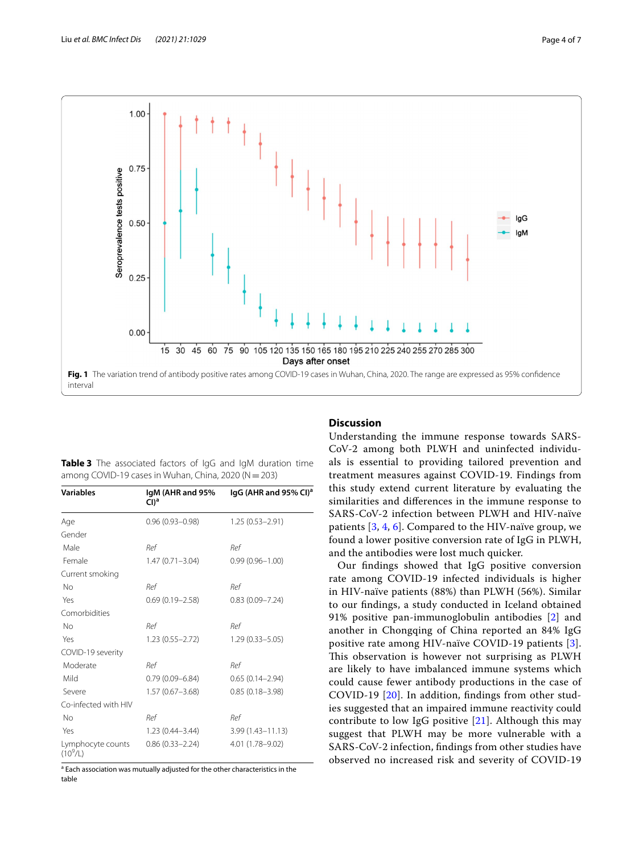

<span id="page-3-1"></span><span id="page-3-0"></span>

|  | Table 3 The associated factors of IgG and IgM duration time |  |  |  |
|--|-------------------------------------------------------------|--|--|--|
|  | among COVID-19 cases in Wuhan, China, 2020 ( $N = 203$ )    |  |  |  |

| <b>Variables</b>                | IgM (AHR and 95%<br>$Cl)^a$ | IgG (AHR and 95% CI) <sup>a</sup> |
|---------------------------------|-----------------------------|-----------------------------------|
| Age                             | $0.96(0.93 - 0.98)$         | $1.25(0.53 - 2.91)$               |
| Gender                          |                             |                                   |
| Male                            | Ref                         | Ref                               |
| Female                          | $1.47(0.71 - 3.04)$         | $0.99(0.96 - 1.00)$               |
| Current smoking                 |                             |                                   |
| No                              | Ref                         | Ref                               |
| Yes                             | $0.69(0.19 - 2.58)$         | $0.83(0.09 - 7.24)$               |
| Comorbidities                   |                             |                                   |
| No                              | Ref                         | Ref                               |
| Yes                             | $1.23(0.55 - 2.72)$         | $1.29(0.33 - 5.05)$               |
| COVID-19 severity               |                             |                                   |
| Moderate                        | Ref                         | Ref                               |
| Mild                            | $0.79(0.09 - 6.84)$         | $0.65(0.14 - 2.94)$               |
| Severe                          | $1.57(0.67 - 3.68)$         | $0.85(0.18 - 3.98)$               |
| Co-infected with HIV            |                             |                                   |
| No                              | Ref                         | Ref                               |
| Yes                             | $1.23(0.44 - 3.44)$         | $3.99(1.43 - 11.13)$              |
| Lymphocyte counts<br>$(10^9/L)$ | $0.86(0.33 - 2.24)$         | 4.01 (1.78-9.02)                  |

<sup>a</sup> Each association was mutually adjusted for the other characteristics in the table

# **Discussion**

Understanding the immune response towards SARS-CoV-2 among both PLWH and uninfected individuals is essential to providing tailored prevention and treatment measures against COVID-19. Findings from this study extend current literature by evaluating the similarities and diferences in the immune response to SARS-CoV-2 infection between PLWH and HIV-naïve patients [\[3](#page-5-3), [4](#page-5-2), [6\]](#page-5-5). Compared to the HIV-naïve group, we found a lower positive conversion rate of IgG in PLWH, and the antibodies were lost much quicker.

Our fndings showed that IgG positive conversion rate among COVID-19 infected individuals is higher in HIV-naïve patients (88%) than PLWH (56%). Similar to our fndings, a study conducted in Iceland obtained 91% positive pan-immunoglobulin antibodies [\[2](#page-5-1)] and another in Chongqing of China reported an 84% IgG positive rate among HIV-naïve COVID-19 patients [[3](#page-5-3)]. This observation is however not surprising as PLWH are likely to have imbalanced immune systems which could cause fewer antibody productions in the case of COVID-19 [[20\]](#page-5-19). In addition, fndings from other studies suggested that an impaired immune reactivity could contribute to low IgG positive [\[21\]](#page-5-20). Although this may suggest that PLWH may be more vulnerable with a SARS-CoV-2 infection, fndings from other studies have observed no increased risk and severity of COVID-19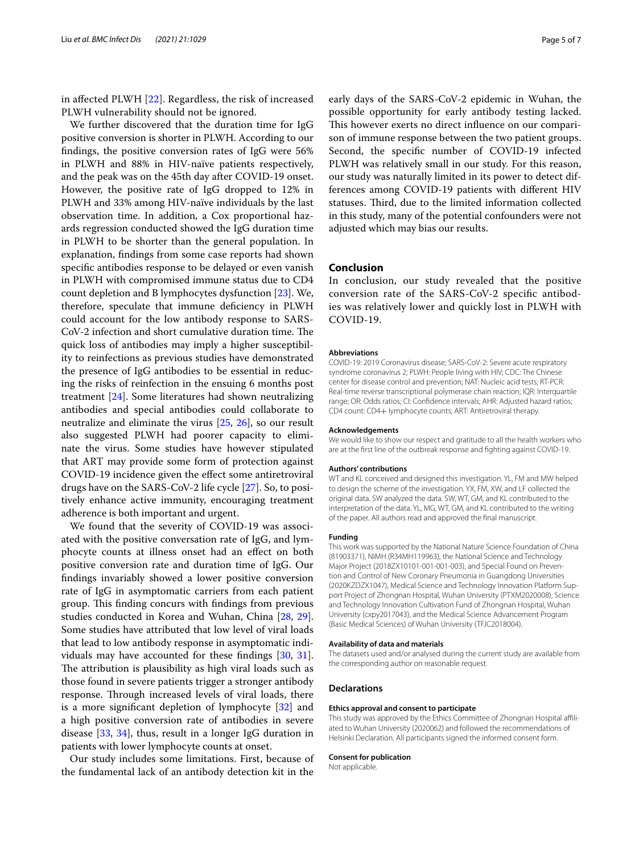in afected PLWH [\[22\]](#page-5-21). Regardless, the risk of increased PLWH vulnerability should not be ignored.

We further discovered that the duration time for IgG positive conversion is shorter in PLWH. According to our fndings, the positive conversion rates of IgG were 56% in PLWH and 88% in HIV-naïve patients respectively, and the peak was on the 45th day after COVID-19 onset. However, the positive rate of IgG dropped to 12% in PLWH and 33% among HIV-naïve individuals by the last observation time. In addition, a Cox proportional hazards regression conducted showed the IgG duration time in PLWH to be shorter than the general population. In explanation, fndings from some case reports had shown specifc antibodies response to be delayed or even vanish in PLWH with compromised immune status due to CD4 count depletion and B lymphocytes dysfunction [\[23\]](#page-5-22). We, therefore, speculate that immune defciency in PLWH could account for the low antibody response to SARS-CoV-2 infection and short cumulative duration time. The quick loss of antibodies may imply a higher susceptibility to reinfections as previous studies have demonstrated the presence of IgG antibodies to be essential in reducing the risks of reinfection in the ensuing 6 months post treatment [[24](#page-5-23)]. Some literatures had shown neutralizing antibodies and special antibodies could collaborate to neutralize and eliminate the virus [[25,](#page-5-24) [26\]](#page-5-25), so our result also suggested PLWH had poorer capacity to eliminate the virus. Some studies have however stipulated that ART may provide some form of protection against COVID-19 incidence given the efect some antiretroviral drugs have on the SARS-CoV-2 life cycle [\[27](#page-5-26)]. So, to positively enhance active immunity, encouraging treatment adherence is both important and urgent.

We found that the severity of COVID-19 was associated with the positive conversation rate of IgG, and lymphocyte counts at illness onset had an efect on both positive conversion rate and duration time of IgG. Our fndings invariably showed a lower positive conversion rate of IgG in asymptomatic carriers from each patient group. This finding concurs with findings from previous studies conducted in Korea and Wuhan, China [[28,](#page-5-27) [29](#page-5-28)]. Some studies have attributed that low level of viral loads that lead to low antibody response in asymptomatic individuals may have accounted for these fndings [\[30](#page-5-29), [31](#page-5-30)]. The attribution is plausibility as high viral loads such as those found in severe patients trigger a stronger antibody response. Through increased levels of viral loads, there is a more signifcant depletion of lymphocyte [\[32](#page-6-0)] and a high positive conversion rate of antibodies in severe disease [\[33](#page-6-1), [34\]](#page-6-2), thus, result in a longer IgG duration in patients with lower lymphocyte counts at onset.

Our study includes some limitations. First, because of the fundamental lack of an antibody detection kit in the early days of the SARS-CoV-2 epidemic in Wuhan, the possible opportunity for early antibody testing lacked. This however exerts no direct influence on our comparison of immune response between the two patient groups. Second, the specifc number of COVID-19 infected PLWH was relatively small in our study. For this reason, our study was naturally limited in its power to detect differences among COVID-19 patients with diferent HIV statuses. Third, due to the limited information collected in this study, many of the potential confounders were not adjusted which may bias our results.

## **Conclusion**

In conclusion, our study revealed that the positive conversion rate of the SARS-CoV-2 specifc antibodies was relatively lower and quickly lost in PLWH with COVID-19.

#### **Abbreviations**

COVID-19: 2019 Coronavirus disease; SARS-CoV-2: Severe acute respiratory syndrome coronavirus 2; PLWH: People living with HIV; CDC: The Chinese center for disease control and prevention; NAT: Nucleic acid tests; RT-PCR: Real-time reverse transcriptional polymerase chain reaction; IQR: Interquartile range; OR: Odds ratios; CI: Confdence intervals; AHR: Adjusted hazard ratios; CD4 count: CD4+ lymphocyte counts; ART: Antiretroviral therapy.

#### **Acknowledgements**

We would like to show our respect and gratitude to all the health workers who are at the frst line of the outbreak response and fghting against COVID-19.

#### **Authors' contributions**

WT and KL conceived and designed this investigation. YL, FM and MW helped to design the scheme of the investigation. YX, FM, XW, and LF collected the original data. SW analyzed the data. SW, WT, GM, and KL contributed to the interpretation of the data. YL, MG, WT, GM, and KL contributed to the writing of the paper. All authors read and approved the fnal manuscript.

#### **Funding**

This work was supported by the National Nature Science Foundation of China (81903371), NIMH (R34MH119963), the National Science and Technology Major Project (2018ZX10101-001-001-003), and Special Found on Prevention and Control of New Coronary Pneumonia in Guangdong Universities (2020KZDZX1047), Medical Science and Technology Innovation Platform Support Project of Zhongnan Hospital, Wuhan University (PTXM2020008), Science and Technology Innovation Cultivation Fund of Zhongnan Hospital, Wuhan University (cxpy2017043), and the Medical Science Advancement Program (Basic Medical Sciences) of Wuhan University (TFJC2018004).

#### **Availability of data and materials**

The datasets used and/or analysed during the current study are available from the corresponding author on reasonable request.

#### **Declarations**

#### **Ethics approval and consent to participate**

This study was approved by the Ethics Committee of Zhongnan Hospital afliated to Wuhan University (2020062) and followed the recommendations of Helsinki Declaration. All participants signed the informed consent form.

#### **Consent for publication**

Not applicable.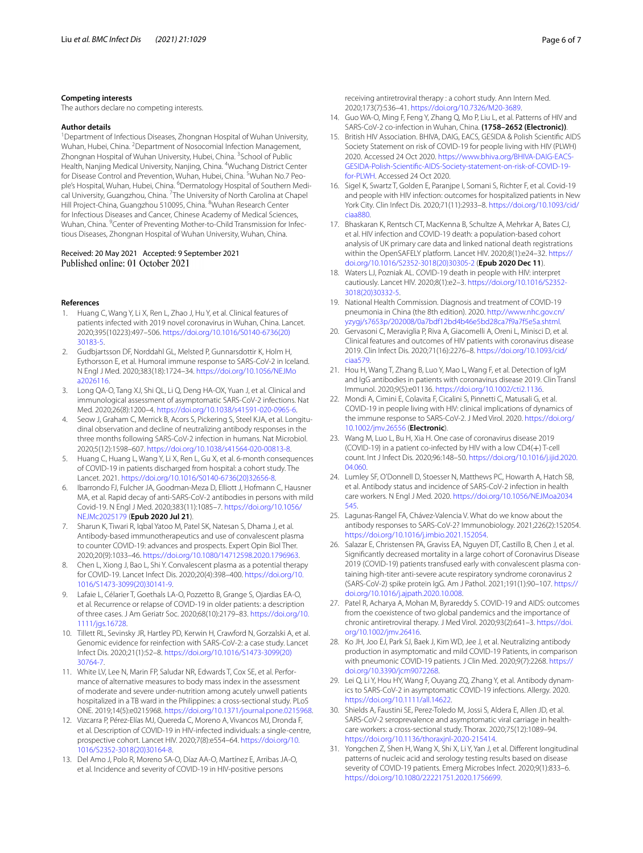#### **Competing interests**

The authors declare no competing interests.

#### **Author details**

<sup>1</sup> Department of Infectious Diseases, Zhongnan Hospital of Wuhan University, Wuhan, Hubei, China. <sup>2</sup> Department of Nosocomial Infection Management, Zhongnan Hospital of Wuhan University, Hubei, China. <sup>3</sup>School of Public Health, Nanjing Medical University, Nanjing, China. <sup>4</sup>Wuchang District Center for Disease Control and Prevention, Wuhan, Hubei, China. <sup>5</sup>Wuhan No.7 People's Hospital, Wuhan, Hubei, China. <sup>6</sup>Dermatology Hospital of Southern Medical University, Guangzhou, China. <sup>7</sup>The University of North Carolina at Chapel Hill Project-China, Guangzhou 510095, China. <sup>8</sup>Wuhan Research Center for Infectious Diseases and Cancer, Chinese Academy of Medical Sciences, Wuhan, China. <sup>9</sup>Center of Preventing Mother-to-Child Transmission for Infectious Diseases, Zhongnan Hospital of Wuhan University, Wuhan, China.

#### Received: 20 May 2021 Accepted: 9 September 2021 Published online: 01 October 2021

#### **References**

- <span id="page-5-0"></span>Huang C, Wang Y, Li X, Ren L, Zhao J, Hu Y, et al. Clinical features of patients infected with 2019 novel coronavirus in Wuhan, China. Lancet. 2020;395(10223):497–506. [https://doi.org/10.1016/S0140-6736\(20\)](https://doi.org/10.1016/S0140-6736(20)30183-5) [30183-5.](https://doi.org/10.1016/S0140-6736(20)30183-5)
- <span id="page-5-1"></span>2. Gudbjartsson DF, Norddahl GL, Melsted P, Gunnarsdottir K, Holm H, Eythorsson E, et al. Humoral immune response to SARS-CoV-2 in Iceland. N Engl J Med. 2020;383(18):1724–34. [https://doi.org/10.1056/NEJMo](https://doi.org/10.1056/NEJMoa2026116) [a2026116.](https://doi.org/10.1056/NEJMoa2026116)
- <span id="page-5-3"></span>3. Long QA-O, Tang XJ, Shi QL, Li Q, Deng HA-OX, Yuan J, et al. Clinical and immunological assessment of asymptomatic SARS-CoV-2 infections. Nat Med. 2020;26(8):1200–4.<https://doi.org/10.1038/s41591-020-0965-6>.
- <span id="page-5-2"></span>Seow J, Graham C, Merrick B, Acors S, Pickering S, Steel KJA, et al. Longitudinal observation and decline of neutralizing antibody responses in the three months following SARS-CoV-2 infection in humans. Nat Microbiol. 2020;5(12):1598–607. [https://doi.org/10.1038/s41564-020-00813-8.](https://doi.org/10.1038/s41564-020-00813-8)
- <span id="page-5-4"></span>5. Huang C, Huang L, Wang Y, Li X, Ren L, Gu X, et al. 6-month consequences of COVID-19 in patients discharged from hospital: a cohort study. The Lancet. 2021. [https://doi.org/10.1016/S0140-6736\(20\)32656-8.](https://doi.org/10.1016/S0140-6736(20)32656-8)
- <span id="page-5-5"></span>6. Ibarrondo FJ, Fulcher JA, Goodman-Meza D, Elliott J, Hofmann C, Hausner MA, et al. Rapid decay of anti-SARS-CoV-2 antibodies in persons with mild Covid-19. N Engl J Med. 2020;383(11):1085–7. [https://doi.org/10.1056/](https://doi.org/10.1056/NEJMc2025179) [NEJMc2025179](https://doi.org/10.1056/NEJMc2025179) (**Epub 2020 Jul 21**).
- <span id="page-5-6"></span>7. Sharun K, Tiwari R, Iqbal Yatoo M, Patel SK, Natesan S, Dhama J, et al. Antibody-based immunotherapeutics and use of convalescent plasma to counter COVID-19: advances and prospects. Expert Opin Biol Ther. 2020;20(9):1033–46. [https://doi.org/10.1080/14712598.2020.1796963.](https://doi.org/10.1080/14712598.2020.1796963)
- <span id="page-5-7"></span>Chen L, Xiong J, Bao L, Shi Y. Convalescent plasma as a potential therapy for COVID-19. Lancet Infect Dis. 2020;20(4):398–400. [https://doi.org/10.](https://doi.org/10.1016/S1473-3099(20)30141-9) [1016/S1473-3099\(20\)30141-9](https://doi.org/10.1016/S1473-3099(20)30141-9).
- <span id="page-5-8"></span>9. Lafaie L, Célarier T, Goethals LA-O, Pozzetto B, Grange S, Ojardias EA-O, et al. Recurrence or relapse of COVID-19 in older patients: a description of three cases. J Am Geriatr Soc. 2020;68(10):2179–83. [https://doi.org/10.](https://doi.org/10.1111/jgs.16728) [1111/jgs.16728.](https://doi.org/10.1111/jgs.16728)
- <span id="page-5-9"></span>10. Tillett RL, Sevinsky JR, Hartley PD, Kerwin H, Crawford N, Gorzalski A, et al. Genomic evidence for reinfection with SARS-CoV-2: a case study. Lancet Infect Dis. 2020;21(1):52–8. [https://doi.org/10.1016/S1473-3099\(20\)](https://doi.org/10.1016/S1473-3099(20)30764-7) [30764-7.](https://doi.org/10.1016/S1473-3099(20)30764-7)
- <span id="page-5-10"></span>11. White LV, Lee N, Marin FP, Saludar NR, Edwards T, Cox SE, et al. Performance of alternative measures to body mass index in the assessment of moderate and severe under-nutrition among acutely unwell patients hospitalized in a TB ward in the Philippines: a cross-sectional study. PLoS ONE. 2019;14(5):e0215968. [https://doi.org/10.1371/journal.pone.0215968.](https://doi.org/10.1371/journal.pone.0215968)
- <span id="page-5-11"></span>12. Vizcarra P, Pérez-Elías MJ, Quereda C, Moreno A, Vivancos MJ, Dronda F, et al. Description of COVID-19 in HIV-infected individuals: a single-centre, prospective cohort. Lancet HIV. 2020;7(8):e554–64. [https://doi.org/10.](https://doi.org/10.1016/S2352-3018(20)30164-8) [1016/S2352-3018\(20\)30164-8](https://doi.org/10.1016/S2352-3018(20)30164-8).
- <span id="page-5-12"></span>13. Del Amo J, Polo R, Moreno SA-O, Díaz AA-O, Martínez E, Arribas JA-O, et al. Incidence and severity of COVID-19 in HIV-positive persons

receiving antiretroviral therapy : a cohort study. Ann Intern Med. 2020;173(7):536–41. <https://doi.org/10.7326/M20-3689>.

- <span id="page-5-13"></span>14. Guo WA-O, Ming F, Feng Y, Zhang Q, Mo P, Liu L, et al. Patterns of HIV and SARS-CoV-2 co-infection in Wuhan, China. **(1758–2652 (Electronic))**.
- <span id="page-5-14"></span>15. British HIV Association. BHIVA, DAIG, EACS, GESIDA & Polish Scientifc AIDS Society Statement on risk of COVID-19 for people living with HIV (PLWH) 2020. Accessed 24 Oct 2020. [https://www.bhiva.org/BHIVA-DAIG-EACS-](https://www.bhiva.org/BHIVA-DAIG-EACS-GESIDA-Polish-Scientific-AIDS-Society-statement-on-risk-of-COVID-19-for-PLWH)[GESIDA-Polish-Scientifc-AIDS-Society-statement-on-risk-of-COVID-19](https://www.bhiva.org/BHIVA-DAIG-EACS-GESIDA-Polish-Scientific-AIDS-Society-statement-on-risk-of-COVID-19-for-PLWH) [for-PLWH.](https://www.bhiva.org/BHIVA-DAIG-EACS-GESIDA-Polish-Scientific-AIDS-Society-statement-on-risk-of-COVID-19-for-PLWH) Accessed 24 Oct 2020.
- <span id="page-5-15"></span>16. Sigel K, Swartz T, Golden E, Paranjpe I, Somani S, Richter F, et al. Covid-19 and people with HIV infection: outcomes for hospitalized patients in New York City. Clin Infect Dis. 2020;71(11):2933–8. [https://doi.org/10.1093/cid/](https://doi.org/10.1093/cid/ciaa880) [ciaa880](https://doi.org/10.1093/cid/ciaa880).
- <span id="page-5-16"></span>17. Bhaskaran K, Rentsch CT, MacKenna B, Schultze A, Mehrkar A, Bates CJ, et al. HIV infection and COVID-19 death: a population-based cohort analysis of UK primary care data and linked national death registrations within the OpenSAFELY platform. Lancet HIV. 2020;8(1):e24–32. [https://](https://doi.org/10.1016/S2352-3018(20)30305-2) [doi.org/10.1016/S2352-3018\(20\)30305-2](https://doi.org/10.1016/S2352-3018(20)30305-2) (**Epub 2020 Dec 11**).
- <span id="page-5-17"></span>18. Waters LJ, Pozniak AL. COVID-19 death in people with HIV: interpret cautiously. Lancet HIV. 2020;8(1):e2–3. [https://doi.org/10.1016/S2352-](https://doi.org/10.1016/S2352-3018(20)30332-5) [3018\(20\)30332-5.](https://doi.org/10.1016/S2352-3018(20)30332-5)
- <span id="page-5-18"></span>19. National Health Commission. Diagnosis and treatment of COVID-19 pneumonia in China (the 8th edition). 2020. [http://www.nhc.gov.cn/](http://www.nhc.gov.cn/yzygj/s7653p/202008/0a7bdf12bd4b46e5bd28ca7f9a7f5e5a.shtml) [yzygj/s7653p/202008/0a7bdf12bd4b46e5bd28ca7f9a7f5e5a.shtml.](http://www.nhc.gov.cn/yzygj/s7653p/202008/0a7bdf12bd4b46e5bd28ca7f9a7f5e5a.shtml)
- <span id="page-5-19"></span>20. Gervasoni C, Meraviglia P, Riva A, Giacomelli A, Oreni L, Minisci D, et al. Clinical features and outcomes of HIV patients with coronavirus disease 2019. Clin Infect Dis. 2020;71(16):2276–8. [https://doi.org/10.1093/cid/](https://doi.org/10.1093/cid/ciaa579) [ciaa579](https://doi.org/10.1093/cid/ciaa579).
- <span id="page-5-20"></span>21. Hou H, Wang T, Zhang B, Luo Y, Mao L, Wang F, et al. Detection of IgM and IgG antibodies in patients with coronavirus disease 2019. Clin Transl Immunol. 2020;9(5):e01136. <https://doi.org/10.1002/cti2.1136>.
- <span id="page-5-21"></span>22. Mondi A, Cimini E, Colavita F, Cicalini S, Pinnetti C, Matusali G, et al. COVID-19 in people living with HIV: clinical implications of dynamics of the immune response to SARS-CoV-2. J Med Virol. 2020. [https://doi.org/](https://doi.org/10.1002/jmv.26556) [10.1002/jmv.26556](https://doi.org/10.1002/jmv.26556) (**Electronic**).
- <span id="page-5-22"></span>23. Wang M, Luo L, Bu H, Xia H. One case of coronavirus disease 2019 (COVID-19) in a patient co-infected by HIV with a low CD4(+) T-cell count. Int J Infect Dis. 2020;96:148–50. [https://doi.org/10.1016/j.ijid.2020.](https://doi.org/10.1016/j.ijid.2020.04.060) [04.060](https://doi.org/10.1016/j.ijid.2020.04.060).
- <span id="page-5-23"></span>24. Lumley SF, O'Donnell D, Stoesser N, Matthews PC, Howarth A, Hatch SB, et al. Antibody status and incidence of SARS-CoV-2 infection in health care workers. N Engl J Med. 2020. [https://doi.org/10.1056/NEJMoa2034](https://doi.org/10.1056/NEJMoa2034545) [545.](https://doi.org/10.1056/NEJMoa2034545)
- <span id="page-5-24"></span>25. Lagunas-Rangel FA, Chávez-Valencia V. What do we know about the antibody responses to SARS-CoV-2? Immunobiology. 2021;226(2):152054. [https://doi.org/10.1016/j.imbio.2021.152054.](https://doi.org/10.1016/j.imbio.2021.152054)
- <span id="page-5-25"></span>26. Salazar E, Christensen PA, Graviss EA, Nguyen DT, Castillo B, Chen J, et al. Signifcantly decreased mortality in a large cohort of Coronavirus Disease 2019 (COVID-19) patients transfused early with convalescent plasma containing high-titer anti-severe acute respiratory syndrome coronavirus 2 (SARS-CoV-2) spike protein IgG. Am J Pathol. 2021;191(1):90–107. [https://](https://doi.org/10.1016/j.ajpath.2020.10.008) [doi.org/10.1016/j.ajpath.2020.10.008.](https://doi.org/10.1016/j.ajpath.2020.10.008)
- <span id="page-5-26"></span>27. Patel R, Acharya A, Mohan M, Byrareddy S. COVID-19 and AIDS: outcomes from the coexistence of two global pandemics and the importance of chronic antiretroviral therapy. J Med Virol. 2020;93(2):641–3. [https://doi.](https://doi.org/10.1002/jmv.26416) [org/10.1002/jmv.26416.](https://doi.org/10.1002/jmv.26416)
- <span id="page-5-27"></span>28. Ko JH, Joo EJ, Park SJ, Baek J, Kim WD, Jee J, et al. Neutralizing antibody production in asymptomatic and mild COVID-19 Patients, in comparison with pneumonic COVID-19 patients. J Clin Med. 2020;9(7):2268. [https://](https://doi.org/10.3390/jcm9072268) [doi.org/10.3390/jcm9072268](https://doi.org/10.3390/jcm9072268).
- <span id="page-5-28"></span>29. Lei Q, Li Y, Hou HY, Wang F, Ouyang ZQ, Zhang Y, et al. Antibody dynamics to SARS-CoV-2 in asymptomatic COVID-19 infections. Allergy. 2020. [https://doi.org/10.1111/all.14622.](https://doi.org/10.1111/all.14622)
- <span id="page-5-29"></span>30. Shields A, Faustini SE, Perez-Toledo M, Jossi S, Aldera E, Allen JD, et al. SARS-CoV-2 seroprevalence and asymptomatic viral carriage in healthcare workers: a cross-sectional study. Thorax. 2020;75(12):1089–94. <https://doi.org/10.1136/thoraxjnl-2020-215414>.
- <span id="page-5-30"></span>31. Yongchen Z, Shen H, Wang X, Shi X, Li Y, Yan J, et al. Diferent longitudinal patterns of nucleic acid and serology testing results based on disease severity of COVID-19 patients. Emerg Microbes Infect. 2020;9(1):833–6. [https://doi.org/10.1080/22221751.2020.1756699.](https://doi.org/10.1080/22221751.2020.1756699)